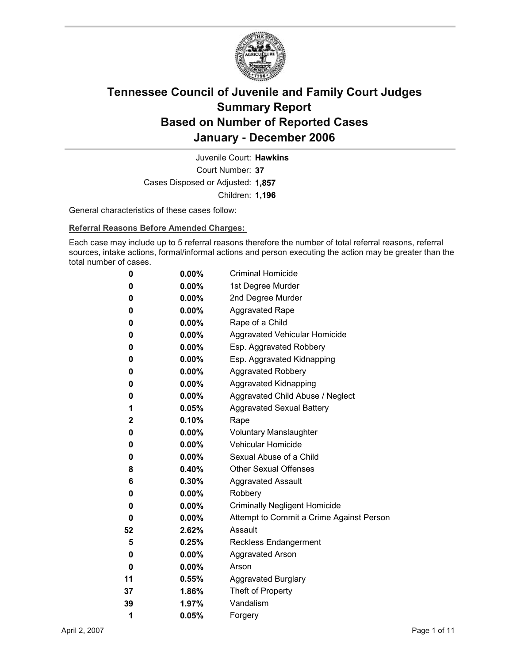

Court Number: **37** Juvenile Court: **Hawkins** Cases Disposed or Adjusted: **1,857** Children: **1,196**

General characteristics of these cases follow:

**Referral Reasons Before Amended Charges:** 

Each case may include up to 5 referral reasons therefore the number of total referral reasons, referral sources, intake actions, formal/informal actions and person executing the action may be greater than the total number of cases.

| 0  | $0.00\%$ | <b>Criminal Homicide</b>                 |
|----|----------|------------------------------------------|
| 0  | $0.00\%$ | 1st Degree Murder                        |
| 0  | $0.00\%$ | 2nd Degree Murder                        |
| 0  | $0.00\%$ | <b>Aggravated Rape</b>                   |
| 0  | $0.00\%$ | Rape of a Child                          |
| 0  | $0.00\%$ | Aggravated Vehicular Homicide            |
| 0  | $0.00\%$ | Esp. Aggravated Robbery                  |
| 0  | $0.00\%$ | Esp. Aggravated Kidnapping               |
| 0  | $0.00\%$ | <b>Aggravated Robbery</b>                |
| 0  | $0.00\%$ | <b>Aggravated Kidnapping</b>             |
| 0  | $0.00\%$ | Aggravated Child Abuse / Neglect         |
| 1  | $0.05\%$ | <b>Aggravated Sexual Battery</b>         |
| 2  | $0.10\%$ | Rape                                     |
| 0  | $0.00\%$ | <b>Voluntary Manslaughter</b>            |
| 0  | $0.00\%$ | <b>Vehicular Homicide</b>                |
| 0  | $0.00\%$ | Sexual Abuse of a Child                  |
| 8  | $0.40\%$ | <b>Other Sexual Offenses</b>             |
| 6  | $0.30\%$ | <b>Aggravated Assault</b>                |
| 0  | $0.00\%$ | Robbery                                  |
| 0  | $0.00\%$ | <b>Criminally Negligent Homicide</b>     |
| 0  | $0.00\%$ | Attempt to Commit a Crime Against Person |
| 52 | 2.62%    | Assault                                  |
| 5  | $0.25\%$ | <b>Reckless Endangerment</b>             |
| 0  | $0.00\%$ | <b>Aggravated Arson</b>                  |
| 0  | $0.00\%$ | Arson                                    |
| 11 | $0.55\%$ | <b>Aggravated Burglary</b>               |
| 37 | 1.86%    | Theft of Property                        |
| 39 | 1.97%    | Vandalism                                |
| 1  | 0.05%    | Forgery                                  |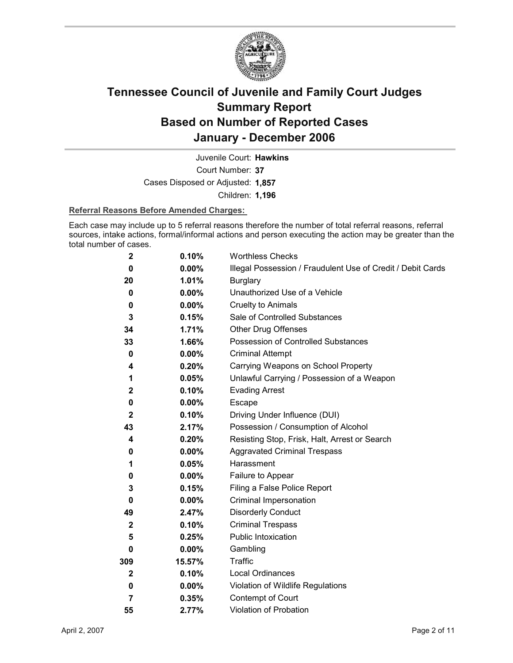

Court Number: **37** Juvenile Court: **Hawkins** Cases Disposed or Adjusted: **1,857** Children: **1,196**

#### **Referral Reasons Before Amended Charges:**

Each case may include up to 5 referral reasons therefore the number of total referral reasons, referral sources, intake actions, formal/informal actions and person executing the action may be greater than the total number of cases.

| $\mathbf 2$  | 0.10%    | <b>Worthless Checks</b>                                     |
|--------------|----------|-------------------------------------------------------------|
| 0            | $0.00\%$ | Illegal Possession / Fraudulent Use of Credit / Debit Cards |
| 20           | 1.01%    | <b>Burglary</b>                                             |
| 0            | $0.00\%$ | Unauthorized Use of a Vehicle                               |
| 0            | 0.00%    | <b>Cruelty to Animals</b>                                   |
| 3            | 0.15%    | Sale of Controlled Substances                               |
| 34           | 1.71%    | <b>Other Drug Offenses</b>                                  |
| 33           | 1.66%    | Possession of Controlled Substances                         |
| 0            | 0.00%    | <b>Criminal Attempt</b>                                     |
| 4            | 0.20%    | Carrying Weapons on School Property                         |
| 1            | 0.05%    | Unlawful Carrying / Possession of a Weapon                  |
| $\mathbf{2}$ | 0.10%    | <b>Evading Arrest</b>                                       |
| 0            | 0.00%    | Escape                                                      |
| $\mathbf{2}$ | 0.10%    | Driving Under Influence (DUI)                               |
| 43           | 2.17%    | Possession / Consumption of Alcohol                         |
| 4            | 0.20%    | Resisting Stop, Frisk, Halt, Arrest or Search               |
| 0            | $0.00\%$ | <b>Aggravated Criminal Trespass</b>                         |
| 1            | 0.05%    | Harassment                                                  |
| 0            | $0.00\%$ | Failure to Appear                                           |
| 3            | 0.15%    | Filing a False Police Report                                |
| 0            | $0.00\%$ | Criminal Impersonation                                      |
| 49           | 2.47%    | <b>Disorderly Conduct</b>                                   |
| $\mathbf{2}$ | 0.10%    | <b>Criminal Trespass</b>                                    |
| 5            | 0.25%    | <b>Public Intoxication</b>                                  |
| 0            | $0.00\%$ | Gambling                                                    |
| 309          | 15.57%   | <b>Traffic</b>                                              |
| $\mathbf{2}$ | 0.10%    | <b>Local Ordinances</b>                                     |
| 0            | $0.00\%$ | Violation of Wildlife Regulations                           |
| 7            | 0.35%    | Contempt of Court                                           |
| 55           | 2.77%    | <b>Violation of Probation</b>                               |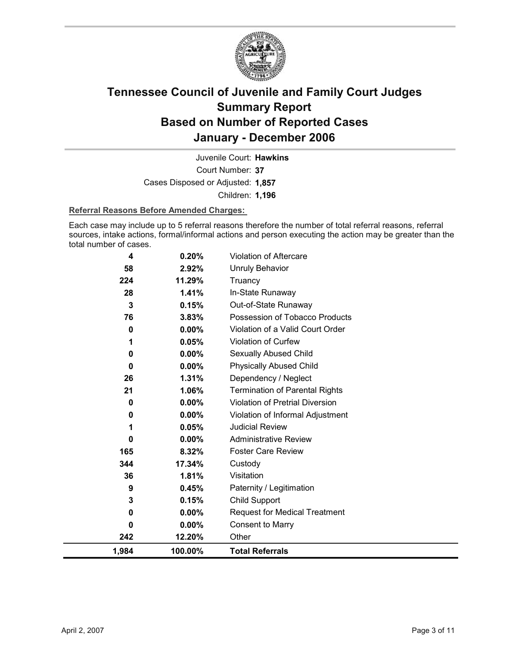

Court Number: **37** Juvenile Court: **Hawkins** Cases Disposed or Adjusted: **1,857** Children: **1,196**

#### **Referral Reasons Before Amended Charges:**

Each case may include up to 5 referral reasons therefore the number of total referral reasons, referral sources, intake actions, formal/informal actions and person executing the action may be greater than the total number of cases.

| 4            | 0.20%    | <b>Violation of Aftercare</b>         |
|--------------|----------|---------------------------------------|
| 58           | 2.92%    | Unruly Behavior                       |
| 224          | 11.29%   | Truancy                               |
| 28           | 1.41%    | In-State Runaway                      |
| 3            | 0.15%    | Out-of-State Runaway                  |
| 76           | 3.83%    | Possession of Tobacco Products        |
| 0            | 0.00%    | Violation of a Valid Court Order      |
| 1            | 0.05%    | <b>Violation of Curfew</b>            |
| 0            | $0.00\%$ | Sexually Abused Child                 |
| $\bf{0}$     | $0.00\%$ | <b>Physically Abused Child</b>        |
| 26           | 1.31%    | Dependency / Neglect                  |
| 21           | 1.06%    | <b>Termination of Parental Rights</b> |
| 0            | 0.00%    | Violation of Pretrial Diversion       |
| 0            | $0.00\%$ | Violation of Informal Adjustment      |
| 1            | 0.05%    | <b>Judicial Review</b>                |
| $\bf{0}$     | $0.00\%$ | <b>Administrative Review</b>          |
| 165          | 8.32%    | <b>Foster Care Review</b>             |
| 344          | 17.34%   | Custody                               |
| 36           | 1.81%    | Visitation                            |
| 9            | 0.45%    | Paternity / Legitimation              |
| 3            | 0.15%    | Child Support                         |
| 0            | $0.00\%$ | <b>Request for Medical Treatment</b>  |
| $\mathbf{0}$ | 0.00%    | <b>Consent to Marry</b>               |
| 242          | 12.20%   | Other                                 |
| 1,984        | 100.00%  | <b>Total Referrals</b>                |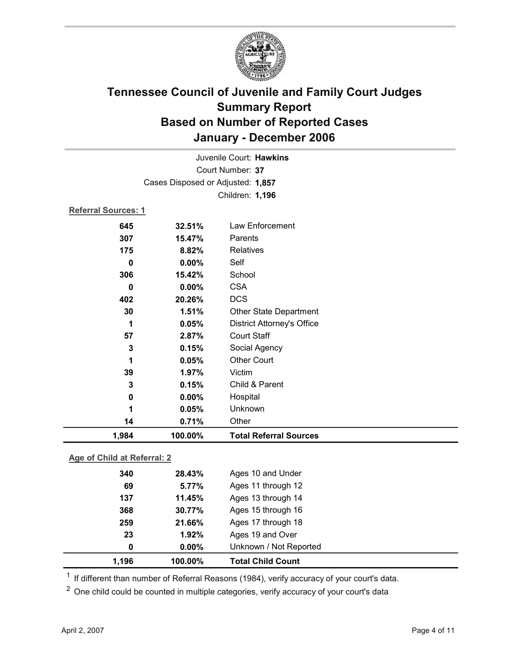

| Juvenile Court: Hawkins           |                            |                                   |  |  |  |  |
|-----------------------------------|----------------------------|-----------------------------------|--|--|--|--|
| Court Number: 37                  |                            |                                   |  |  |  |  |
| Cases Disposed or Adjusted: 1,857 |                            |                                   |  |  |  |  |
|                                   |                            | Children: 1,196                   |  |  |  |  |
|                                   | <b>Referral Sources: 1</b> |                                   |  |  |  |  |
| 645                               | 32.51%                     | Law Enforcement                   |  |  |  |  |
| 307                               | 15.47%                     | Parents                           |  |  |  |  |
| 175                               | 8.82%                      | Relatives                         |  |  |  |  |
| $\mathbf 0$                       | 0.00%                      | Self                              |  |  |  |  |
| 306                               | 15.42%                     | School                            |  |  |  |  |
| 0                                 | 0.00%                      | <b>CSA</b>                        |  |  |  |  |
| 402                               | 20.26%                     | <b>DCS</b>                        |  |  |  |  |
| 30                                | 1.51%                      | <b>Other State Department</b>     |  |  |  |  |
| 1                                 | 0.05%                      | <b>District Attorney's Office</b> |  |  |  |  |
| 57                                | 2.87%                      | <b>Court Staff</b>                |  |  |  |  |
| 3                                 | 0.15%                      | Social Agency                     |  |  |  |  |
| 1                                 | 0.05%                      | <b>Other Court</b>                |  |  |  |  |
| 39                                | 1.97%                      | Victim                            |  |  |  |  |
| 3                                 | 0.15%                      | Child & Parent                    |  |  |  |  |
| 0                                 | 0.00%                      | Hospital                          |  |  |  |  |
| 1                                 | 0.05%                      | Unknown                           |  |  |  |  |
| 14                                | 0.71%                      | Other                             |  |  |  |  |
| 1,984                             | 100.00%                    | <b>Total Referral Sources</b>     |  |  |  |  |
| Age of Child at Referral: 2       |                            |                                   |  |  |  |  |
|                                   |                            |                                   |  |  |  |  |

| 1,196 | 100.00%  | <b>Total Child Count</b> |  |
|-------|----------|--------------------------|--|
| 0     | $0.00\%$ | Unknown / Not Reported   |  |
| 23    | 1.92%    | Ages 19 and Over         |  |
| 259   | 21.66%   | Ages 17 through 18       |  |
| 368   | 30.77%   | Ages 15 through 16       |  |
| 137   | 11.45%   | Ages 13 through 14       |  |
| 69    | 5.77%    | Ages 11 through 12       |  |
| 340   | 28.43%   | Ages 10 and Under        |  |

 $1$  If different than number of Referral Reasons (1984), verify accuracy of your court's data.

<sup>2</sup> One child could be counted in multiple categories, verify accuracy of your court's data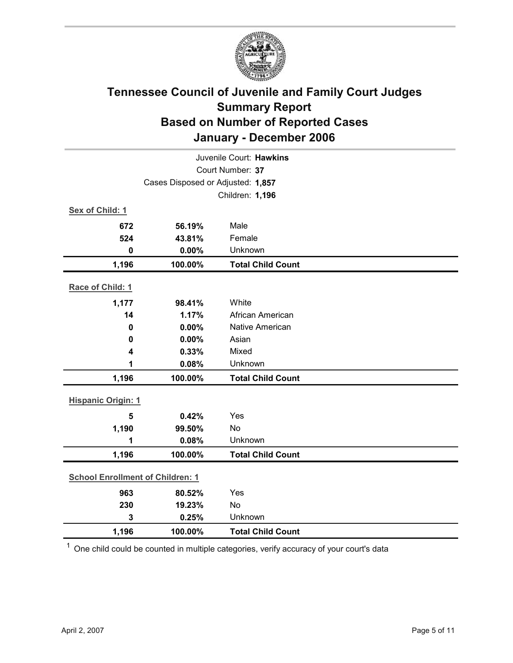

| Juvenile Court: Hawkins                 |                                   |                          |  |  |  |
|-----------------------------------------|-----------------------------------|--------------------------|--|--|--|
| Court Number: 37                        |                                   |                          |  |  |  |
|                                         | Cases Disposed or Adjusted: 1,857 |                          |  |  |  |
|                                         |                                   | Children: 1,196          |  |  |  |
| Sex of Child: 1                         |                                   |                          |  |  |  |
| 672                                     | 56.19%                            | Male                     |  |  |  |
| 524                                     | 43.81%                            | Female                   |  |  |  |
| $\mathbf 0$                             | 0.00%                             | Unknown                  |  |  |  |
| 1,196                                   | 100.00%                           | <b>Total Child Count</b> |  |  |  |
| Race of Child: 1                        |                                   |                          |  |  |  |
| 1,177                                   | 98.41%                            | White                    |  |  |  |
| 14                                      | 1.17%                             | African American         |  |  |  |
| $\mathbf 0$                             | 0.00%                             | Native American          |  |  |  |
| $\mathbf 0$                             | 0.00%                             | Asian                    |  |  |  |
| $\overline{\mathbf{4}}$                 | 0.33%                             | Mixed                    |  |  |  |
| 1                                       | 0.08%                             | Unknown                  |  |  |  |
| 1,196                                   | 100.00%                           | <b>Total Child Count</b> |  |  |  |
| <b>Hispanic Origin: 1</b>               |                                   |                          |  |  |  |
| 5                                       | 0.42%                             | Yes                      |  |  |  |
| 1,190                                   | 99.50%                            | No                       |  |  |  |
| 1                                       | 0.08%                             | Unknown                  |  |  |  |
| 1,196                                   | 100.00%                           | <b>Total Child Count</b> |  |  |  |
| <b>School Enrollment of Children: 1</b> |                                   |                          |  |  |  |
| 963                                     | 80.52%                            | Yes                      |  |  |  |
| 230                                     | 19.23%                            | No                       |  |  |  |
| 3                                       | 0.25%                             | Unknown                  |  |  |  |
| 1,196                                   | 100.00%                           | <b>Total Child Count</b> |  |  |  |

 $1$  One child could be counted in multiple categories, verify accuracy of your court's data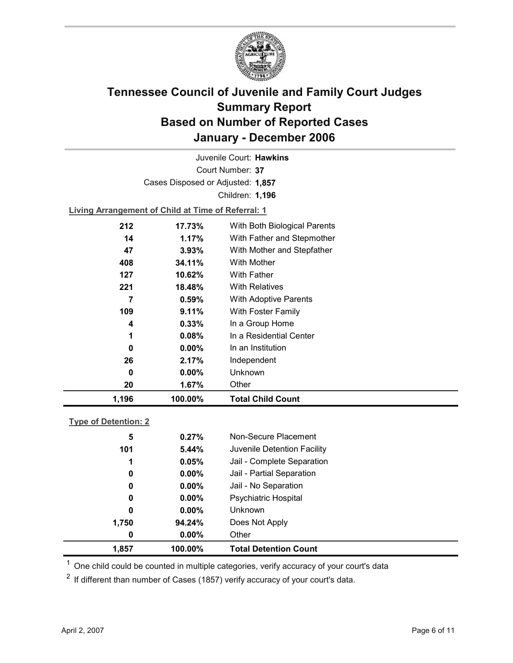

Court Number: **37** Juvenile Court: **Hawkins** Cases Disposed or Adjusted: **1,857** Children: **1,196**

**Living Arrangement of Child at Time of Referral: 1**

| 1,196 | 100.00%  | <b>Total Child Count</b>     |
|-------|----------|------------------------------|
| 20    | 1.67%    | Other                        |
| 0     | $0.00\%$ | Unknown                      |
| 26    | 2.17%    | Independent                  |
| 0     | $0.00\%$ | In an Institution            |
| 1     | 0.08%    | In a Residential Center      |
| 4     | 0.33%    | In a Group Home              |
| 109   | 9.11%    | With Foster Family           |
| 7     | 0.59%    | <b>With Adoptive Parents</b> |
| 221   | 18.48%   | <b>With Relatives</b>        |
| 127   | 10.62%   | <b>With Father</b>           |
| 408   | 34.11%   | With Mother                  |
| 47    | 3.93%    | With Mother and Stepfather   |
| 14    | $1.17\%$ | With Father and Stepmother   |
| 212   | 17.73%   | With Both Biological Parents |
|       |          |                              |

### **Type of Detention: 2**

| 1,857       | 100.00%  | <b>Total Detention Count</b> |  |
|-------------|----------|------------------------------|--|
| 0           | $0.00\%$ | Other                        |  |
| 1,750       | 94.24%   | Does Not Apply               |  |
| 0           | $0.00\%$ | <b>Unknown</b>               |  |
| 0           | $0.00\%$ | <b>Psychiatric Hospital</b>  |  |
| 0           | $0.00\%$ | Jail - No Separation         |  |
| $\mathbf 0$ | $0.00\%$ | Jail - Partial Separation    |  |
| 1           | 0.05%    | Jail - Complete Separation   |  |
| 101         | 5.44%    | Juvenile Detention Facility  |  |
| 5           | 0.27%    | Non-Secure Placement         |  |
|             |          |                              |  |

 $<sup>1</sup>$  One child could be counted in multiple categories, verify accuracy of your court's data</sup>

 $2$  If different than number of Cases (1857) verify accuracy of your court's data.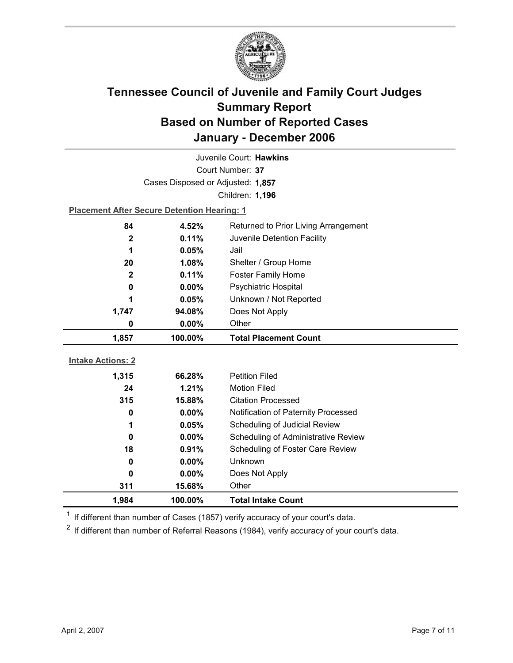

| Juvenile Court: Hawkins  |                                                    |                                      |  |  |
|--------------------------|----------------------------------------------------|--------------------------------------|--|--|
| Court Number: 37         |                                                    |                                      |  |  |
|                          | Cases Disposed or Adjusted: 1,857                  |                                      |  |  |
|                          |                                                    | Children: 1,196                      |  |  |
|                          | <b>Placement After Secure Detention Hearing: 1</b> |                                      |  |  |
| 84                       | 4.52%                                              | Returned to Prior Living Arrangement |  |  |
| $\mathbf{2}$             | 0.11%                                              | Juvenile Detention Facility          |  |  |
| 1                        | 0.05%                                              | Jail                                 |  |  |
| 20                       | $1.08\%$                                           | Shelter / Group Home                 |  |  |
| $\mathbf{2}$             | 0.11%                                              | <b>Foster Family Home</b>            |  |  |
| 0                        | $0.00\%$                                           | <b>Psychiatric Hospital</b>          |  |  |
| 1                        | 0.05%                                              | Unknown / Not Reported               |  |  |
| 1,747                    | 94.08%                                             | Does Not Apply                       |  |  |
| 0                        | 0.00%                                              | Other                                |  |  |
|                          |                                                    |                                      |  |  |
| 1,857                    | 100.00%                                            | <b>Total Placement Count</b>         |  |  |
|                          |                                                    |                                      |  |  |
| <b>Intake Actions: 2</b> |                                                    |                                      |  |  |
| 1,315                    | 66.28%                                             | <b>Petition Filed</b>                |  |  |
| 24                       | 1.21%                                              | <b>Motion Filed</b>                  |  |  |
| 315                      | 15.88%                                             | <b>Citation Processed</b>            |  |  |
| 0                        | $0.00\%$                                           | Notification of Paternity Processed  |  |  |
| 1                        | 0.05%                                              | Scheduling of Judicial Review        |  |  |
| $\bf{0}$                 | 0.00%                                              | Scheduling of Administrative Review  |  |  |
| 18                       | 0.91%                                              | Scheduling of Foster Care Review     |  |  |
| 0                        | 0.00%                                              | Unknown                              |  |  |
| 0<br>311                 | $0.00\%$<br>15.68%                                 | Does Not Apply<br>Other              |  |  |

 $1$  If different than number of Cases (1857) verify accuracy of your court's data.

 $2$  If different than number of Referral Reasons (1984), verify accuracy of your court's data.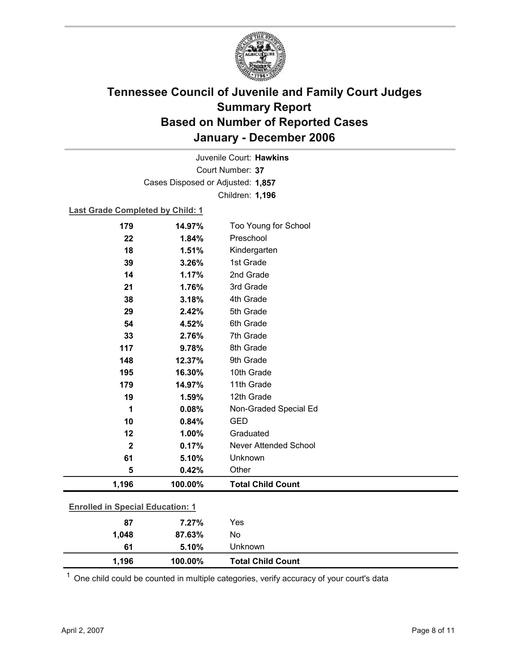

Court Number: **37** Juvenile Court: **Hawkins** Cases Disposed or Adjusted: **1,857** Children: **1,196**

#### **Last Grade Completed by Child: 1**

| 179                                     | 14.97%  | Too Young for School     |
|-----------------------------------------|---------|--------------------------|
| 22                                      | 1.84%   | Preschool                |
| 18                                      | 1.51%   | Kindergarten             |
| 39                                      | 3.26%   | 1st Grade                |
| 14                                      | 1.17%   | 2nd Grade                |
| 21                                      | 1.76%   | 3rd Grade                |
| 38                                      | 3.18%   | 4th Grade                |
| 29                                      | 2.42%   | 5th Grade                |
| 54                                      | 4.52%   | 6th Grade                |
| 33                                      | 2.76%   | 7th Grade                |
| 117                                     | 9.78%   | 8th Grade                |
| 148                                     | 12.37%  | 9th Grade                |
| 195                                     | 16.30%  | 10th Grade               |
| 179                                     | 14.97%  | 11th Grade               |
| 19                                      | 1.59%   | 12th Grade               |
| 1                                       | 0.08%   | Non-Graded Special Ed    |
| 10                                      | 0.84%   | <b>GED</b>               |
| 12                                      | 1.00%   | Graduated                |
| $\mathbf{2}$                            | 0.17%   | Never Attended School    |
| 61                                      | 5.10%   | Unknown                  |
| 5                                       | 0.42%   | Other                    |
| 1,196                                   | 100.00% | <b>Total Child Count</b> |
|                                         |         |                          |
| <b>Enrolled in Special Education: 1</b> |         |                          |
| 87                                      | 7.27%   | Yes                      |
| 1,048                                   | 87.63%  | No                       |

 $1$  One child could be counted in multiple categories, verify accuracy of your court's data

**61 5.10%** Unknown

**1,196 100.00% Total Child Count**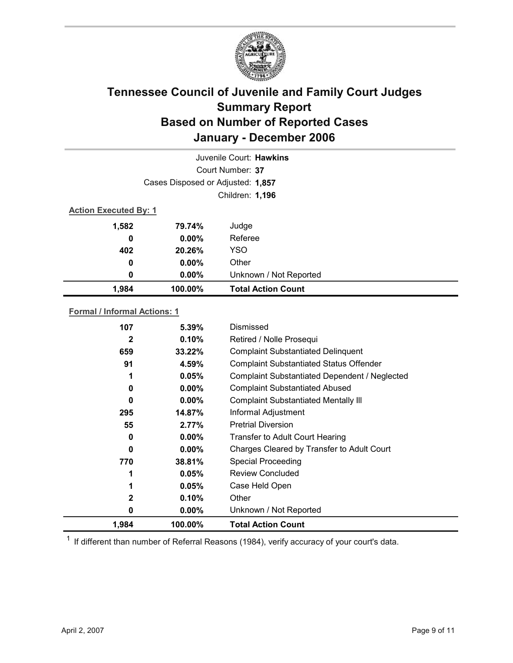

|                              | Juvenile Court: Hawkins           |                           |  |  |
|------------------------------|-----------------------------------|---------------------------|--|--|
|                              | Court Number: 37                  |                           |  |  |
|                              | Cases Disposed or Adjusted: 1,857 |                           |  |  |
|                              | Children: 1,196                   |                           |  |  |
| <b>Action Executed By: 1</b> |                                   |                           |  |  |
| 1,582                        | 79.74%                            | Judge                     |  |  |
| 0                            | $0.00\%$                          | Referee                   |  |  |
| 402                          | 20.26%                            | <b>YSO</b>                |  |  |
| 0                            | $0.00\%$                          | Other                     |  |  |
| 0                            | $0.00\%$                          | Unknown / Not Reported    |  |  |
| 1,984                        | 100.00%                           | <b>Total Action Count</b> |  |  |

### **Formal / Informal Actions: 1**

| 107          | $5.39\%$ | Dismissed                                      |
|--------------|----------|------------------------------------------------|
| $\mathbf{2}$ | 0.10%    | Retired / Nolle Prosequi                       |
| 659          | 33.22%   | <b>Complaint Substantiated Delinquent</b>      |
| 91           | 4.59%    | <b>Complaint Substantiated Status Offender</b> |
| 1            | 0.05%    | Complaint Substantiated Dependent / Neglected  |
| 0            | $0.00\%$ | <b>Complaint Substantiated Abused</b>          |
| 0            | $0.00\%$ | <b>Complaint Substantiated Mentally III</b>    |
| 295          | 14.87%   | Informal Adjustment                            |
| 55           | $2.77\%$ | <b>Pretrial Diversion</b>                      |
| 0            | $0.00\%$ | <b>Transfer to Adult Court Hearing</b>         |
| 0            | $0.00\%$ | Charges Cleared by Transfer to Adult Court     |
| 770          | 38.81%   | <b>Special Proceeding</b>                      |
|              | 0.05%    | <b>Review Concluded</b>                        |
|              | 0.05%    | Case Held Open                                 |
| 2            | 0.10%    | Other                                          |
| 0            | $0.00\%$ | Unknown / Not Reported                         |
| 1,984        | 100.00%  | <b>Total Action Count</b>                      |

 $1$  If different than number of Referral Reasons (1984), verify accuracy of your court's data.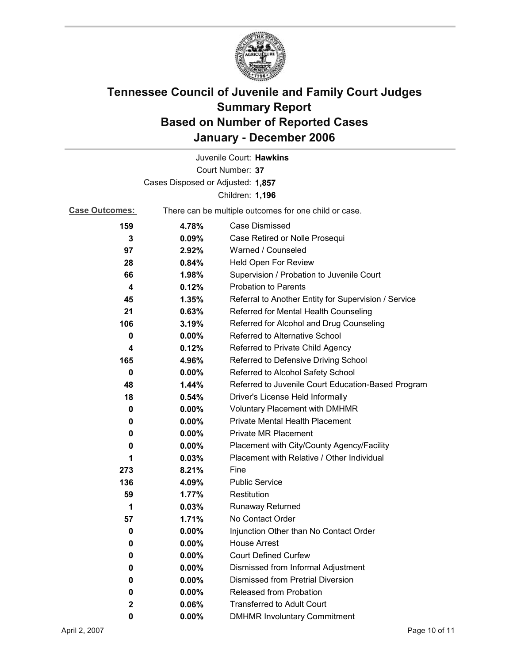

|                                   |                                                       | Juvenile Court: Hawkins                              |  |  |
|-----------------------------------|-------------------------------------------------------|------------------------------------------------------|--|--|
| Court Number: 37                  |                                                       |                                                      |  |  |
| Cases Disposed or Adjusted: 1,857 |                                                       |                                                      |  |  |
|                                   |                                                       | Children: 1,196                                      |  |  |
| <b>Case Outcomes:</b>             | There can be multiple outcomes for one child or case. |                                                      |  |  |
| 159                               | 4.78%                                                 | <b>Case Dismissed</b>                                |  |  |
| 3                                 | 0.09%                                                 | Case Retired or Nolle Prosequi                       |  |  |
| 97                                | 2.92%                                                 | Warned / Counseled                                   |  |  |
| 28                                | 0.84%                                                 | Held Open For Review                                 |  |  |
| 66                                | 1.98%                                                 | Supervision / Probation to Juvenile Court            |  |  |
| 4                                 | 0.12%                                                 | <b>Probation to Parents</b>                          |  |  |
| 45                                | 1.35%                                                 | Referral to Another Entity for Supervision / Service |  |  |
| 21                                | 0.63%                                                 | Referred for Mental Health Counseling                |  |  |
| 106                               | 3.19%                                                 | Referred for Alcohol and Drug Counseling             |  |  |
| 0                                 | 0.00%                                                 | Referred to Alternative School                       |  |  |
| 4                                 | 0.12%                                                 | Referred to Private Child Agency                     |  |  |
| 165                               | 4.96%                                                 | Referred to Defensive Driving School                 |  |  |
| 0                                 | 0.00%                                                 | Referred to Alcohol Safety School                    |  |  |
| 48                                | 1.44%                                                 | Referred to Juvenile Court Education-Based Program   |  |  |
| 18                                | 0.54%                                                 | Driver's License Held Informally                     |  |  |
| 0                                 | $0.00\%$                                              | Voluntary Placement with DMHMR                       |  |  |
| 0                                 | 0.00%                                                 | Private Mental Health Placement                      |  |  |
| 0                                 | $0.00\%$                                              | <b>Private MR Placement</b>                          |  |  |
| 0                                 | $0.00\%$                                              | Placement with City/County Agency/Facility           |  |  |
| 1                                 | 0.03%                                                 | Placement with Relative / Other Individual           |  |  |
| 273                               | 8.21%                                                 | Fine                                                 |  |  |
| 136                               | 4.09%                                                 | <b>Public Service</b>                                |  |  |
| 59                                | 1.77%                                                 | Restitution                                          |  |  |
| 1                                 | 0.03%                                                 | <b>Runaway Returned</b>                              |  |  |
| 57                                | 1.71%                                                 | No Contact Order                                     |  |  |
| 0                                 | 0.00%                                                 | Injunction Other than No Contact Order               |  |  |
| 0                                 | 0.00%                                                 | <b>House Arrest</b>                                  |  |  |
| 0                                 | $0.00\%$                                              | <b>Court Defined Curfew</b>                          |  |  |
| 0                                 | $0.00\%$                                              | Dismissed from Informal Adjustment                   |  |  |
| 0                                 | 0.00%                                                 | <b>Dismissed from Pretrial Diversion</b>             |  |  |
| 0                                 | $0.00\%$                                              | Released from Probation                              |  |  |
| 2                                 | 0.06%                                                 | <b>Transferred to Adult Court</b>                    |  |  |
| 0                                 | $0.00\%$                                              | <b>DMHMR Involuntary Commitment</b>                  |  |  |